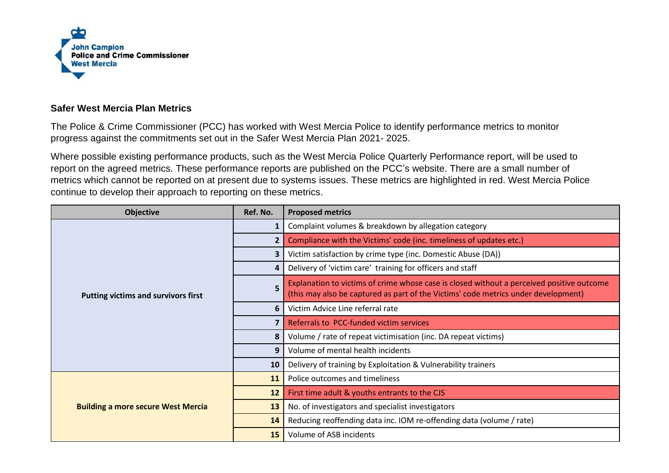

## **Safer West Mercia Plan Metrics**

The Police & Crime Commissioner (PCC) has worked with West Mercia Police to identify performance metrics to monitor progress against the commitments set out in the Safer West Mercia Plan 2021- 2025.

Where possible existing performance products, such as the West Mercia Police Quarterly Performance report, will be used to report on the agreed metrics. These performance reports are published on the PCC's website. There are a small number of metrics which cannot be reported on at present due to systems issues. These metrics are highlighted in red. West Mercia Police continue to develop their approach to reporting on these metrics.

| <b>Objective</b>                           | Ref. No.                | <b>Proposed metrics</b>                                                                                                                                                         |
|--------------------------------------------|-------------------------|---------------------------------------------------------------------------------------------------------------------------------------------------------------------------------|
| <b>Putting victims and survivors first</b> | 1                       | Complaint volumes & breakdown by allegation category                                                                                                                            |
|                                            | 2                       | Compliance with the Victims' code (inc. timeliness of updates etc.)                                                                                                             |
|                                            | 3                       | Victim satisfaction by crime type (inc. Domestic Abuse (DA))                                                                                                                    |
|                                            | 4                       | Delivery of 'victim care' training for officers and staff                                                                                                                       |
|                                            | 5                       | Explanation to victims of crime whose case is closed without a perceived positive outcome<br>(this may also be captured as part of the Victims' code metrics under development) |
|                                            | 6                       | Victim Advice Line referral rate                                                                                                                                                |
|                                            | $\overline{\mathbf{z}}$ | Referrals to PCC-funded victim services                                                                                                                                         |
|                                            | 8                       | Volume / rate of repeat victimisation (inc. DA repeat victims)                                                                                                                  |
|                                            | 9                       | Volume of mental health incidents                                                                                                                                               |
|                                            | 10                      | Delivery of training by Exploitation & Vulnerability trainers                                                                                                                   |
| <b>Building a more secure West Mercia</b>  | <b>11</b>               | Police outcomes and timeliness                                                                                                                                                  |
|                                            | 12                      | First time adult & youths entrants to the CJS                                                                                                                                   |
|                                            | 13                      | No. of investigators and specialist investigators                                                                                                                               |
|                                            | 14                      | Reducing reoffending data inc. IOM re-offending data (volume / rate)                                                                                                            |
|                                            | <b>15</b>               | Volume of ASB incidents                                                                                                                                                         |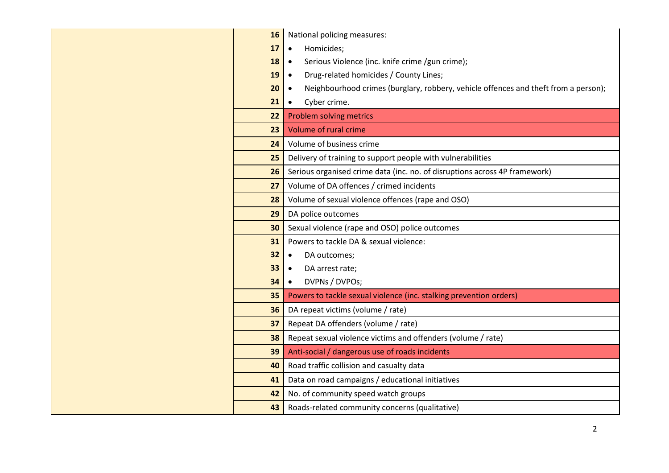| <b>16</b> | National policing measures:                                                                      |  |  |  |
|-----------|--------------------------------------------------------------------------------------------------|--|--|--|
| 17        | Homicides;<br>$\bullet$                                                                          |  |  |  |
| 18        | Serious Violence (inc. knife crime /gun crime);<br>$\bullet$                                     |  |  |  |
| 19        | Drug-related homicides / County Lines;<br>$\bullet$                                              |  |  |  |
| 20        | Neighbourhood crimes (burglary, robbery, vehicle offences and theft from a person);<br>$\bullet$ |  |  |  |
| 21        | Cyber crime.<br>$\bullet$                                                                        |  |  |  |
| 22        | Problem solving metrics                                                                          |  |  |  |
| 23        | Volume of rural crime                                                                            |  |  |  |
| 24        | Volume of business crime                                                                         |  |  |  |
| 25        | Delivery of training to support people with vulnerabilities                                      |  |  |  |
| 26        | Serious organised crime data (inc. no. of disruptions across 4P framework)                       |  |  |  |
| 27        | Volume of DA offences / crimed incidents                                                         |  |  |  |
| 28        | Volume of sexual violence offences (rape and OSO)                                                |  |  |  |
| 29        | DA police outcomes                                                                               |  |  |  |
| 30        | Sexual violence (rape and OSO) police outcomes                                                   |  |  |  |
| 31        | Powers to tackle DA & sexual violence:                                                           |  |  |  |
| 32        | DA outcomes;<br>$\bullet$                                                                        |  |  |  |
| 33        | DA arrest rate;<br>$\bullet$                                                                     |  |  |  |
| 34        | DVPNs / DVPOs;<br>$\bullet$                                                                      |  |  |  |
| 35        | Powers to tackle sexual violence (inc. stalking prevention orders)                               |  |  |  |
| 36        | DA repeat victims (volume / rate)                                                                |  |  |  |
| 37        | Repeat DA offenders (volume / rate)                                                              |  |  |  |
| 38        | Repeat sexual violence victims and offenders (volume / rate)                                     |  |  |  |
| 39        | Anti-social / dangerous use of roads incidents                                                   |  |  |  |
| 40        | Road traffic collision and casualty data                                                         |  |  |  |
| 41        | Data on road campaigns / educational initiatives                                                 |  |  |  |
| 42        | No. of community speed watch groups                                                              |  |  |  |
| 43        | Roads-related community concerns (qualitative)                                                   |  |  |  |